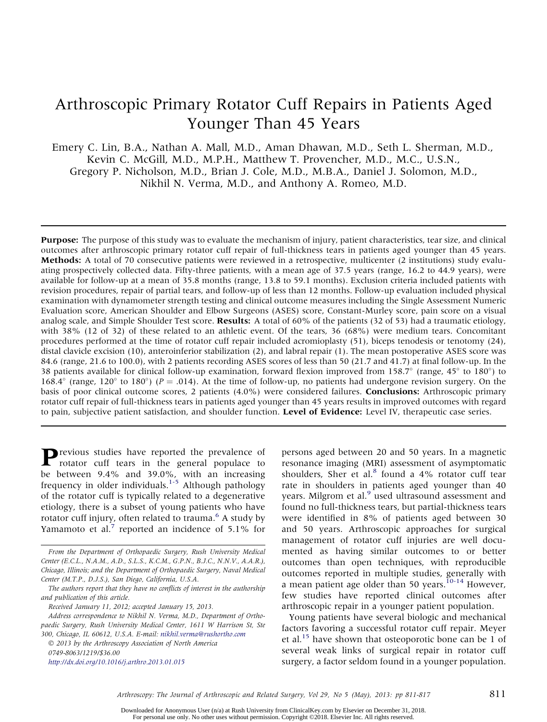# Arthroscopic Primary Rotator Cuff Repairs in Patients Aged Younger Than 45 Years

Emery C. Lin, B.A., Nathan A. Mall, M.D., Aman Dhawan, M.D., Seth L. Sherman, M.D., Kevin C. McGill, M.D., M.P.H., Matthew T. Provencher, M.D., M.C., U.S.N., Gregory P. Nicholson, M.D., Brian J. Cole, M.D., M.B.A., Daniel J. Solomon, M.D., Nikhil N. Verma, M.D., and Anthony A. Romeo, M.D.

Purpose: The purpose of this study was to evaluate the mechanism of injury, patient characteristics, tear size, and clinical outcomes after arthroscopic primary rotator cuff repair of full-thickness tears in patients aged younger than 45 years. Methods: A total of 70 consecutive patients were reviewed in a retrospective, multicenter (2 institutions) study evaluating prospectively collected data. Fifty-three patients, with a mean age of 37.5 years (range, 16.2 to 44.9 years), were available for follow-up at a mean of 35.8 months (range, 13.8 to 59.1 months). Exclusion criteria included patients with revision procedures, repair of partial tears, and follow-up of less than 12 months. Follow-up evaluation included physical examination with dynamometer strength testing and clinical outcome measures including the Single Assessment Numeric Evaluation score, American Shoulder and Elbow Surgeons (ASES) score, Constant-Murley score, pain score on a visual analog scale, and Simple Shoulder Test score. Results: A total of 60% of the patients (32 of 53) had a traumatic etiology, with 38% (12 of 32) of these related to an athletic event. Of the tears, 36 (68%) were medium tears. Concomitant procedures performed at the time of rotator cuff repair included acromioplasty (51), biceps tenodesis or tenotomy (24), distal clavicle excision (10), anteroinferior stabilization (2), and labral repair (1). The mean postoperative ASES score was 84.6 (range, 21.6 to 100.0), with 2 patients recording ASES scores of less than 50 (21.7 and 41.7) at final follow-up. In the 38 patients available for clinical follow-up examination, forward flexion improved from 158.7 $\degree$  (range, 45 $\degree$  to 180 $\degree$ ) to 168.4 $\degree$  (range, 120 $\degree$  to 180 $\degree$ ) (P = .014). At the time of follow-up, no patients had undergone revision surgery. On the basis of poor clinical outcome scores, 2 patients (4.0%) were considered failures. **Conclusions:** Arthroscopic primary rotator cuff repair of full-thickness tears in patients aged younger than 45 years results in improved outcomes with regard to pain, subjective patient satisfaction, and shoulder function. Level of Evidence: Level IV, therapeutic case series.

Previous studies have reported the prevalence of rotator cuff tears in the general populace to be between 9.4% and 39.0%, with an increasing frequency in older individuals.<sup>1-5</sup> Although pathology of the rotator cuff is typically related to a degenerative etiology, there is a subset of young patients who have rotator cuff injury, often related to trauma.<sup>6</sup> A study by Yamamoto et al. $\frac{7}{7}$  reported an incidence of 5.1% for

Received January 11, 2012; accepted January 15, 2013.

 2013 by the Arthroscopy Association of North America 0749-8063/1219/\$36.00 http://dx.doi.org/10.1016/j.arthro.2013.01.015

persons aged between 20 and 50 years. In a magnetic resonance imaging (MRI) assessment of asymptomatic shoulders, Sher et al. $8$  found a 4% rotator cuff tear rate in shoulders in patients aged younger than 40 years. Milgrom et al.<sup>9</sup> used ultrasound assessment and found no full-thickness tears, but partial-thickness tears were identified in 8% of patients aged between 30 and 50 years. Arthroscopic approaches for surgical management of rotator cuff injuries are well documented as having similar outcomes to or better outcomes than open techniques, with reproducible outcomes reported in multiple studies, generally with a mean patient age older than 50 years.<sup>10-14</sup> However, few studies have reported clinical outcomes after arthroscopic repair in a younger patient population.

Young patients have several biologic and mechanical factors favoring a successful rotator cuff repair. Meyer et al.<sup>15</sup> have shown that osteoporotic bone can be 1 of several weak links of surgical repair in rotator cuff surgery, a factor seldom found in a younger population.

Arthroscopy: The Journal of Arthroscopic and Related Surgery, Vol 29, No 5 (May), 2013: pp 811-817 811

From the Department of Orthopaedic Surgery, Rush University Medical Center (E.C.L., N.A.M., A.D., S.L.S., K.C.M., G.P.N., B.J.C., N.N.V., A.A.R.), Chicago, Illinois; and the Department of Orthopaedic Surgery, Naval Medical Center (M.T.P., D.J.S.), San Diego, California, U.S.A.

The authors report that they have no conflicts of interest in the authorship and publication of this article.

Address correspondence to Nikhil N. Verma, M.D., Department of Orthopaedic Surgery, Rush University Medical Center, 1611 W Harrison St, Ste 300, Chicago, IL 60612, U.S.A. E-mail: nikhil.verma@rushortho.com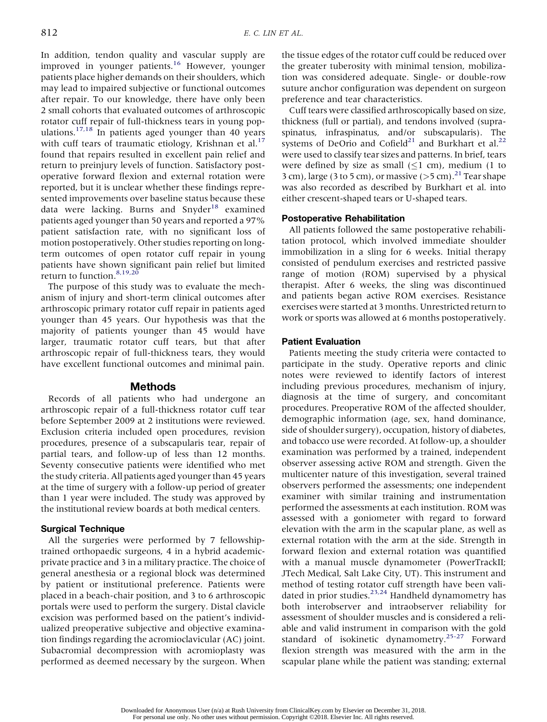In addition, tendon quality and vascular supply are improved in younger patients.<sup>16</sup> However, younger patients place higher demands on their shoulders, which may lead to impaired subjective or functional outcomes after repair. To our knowledge, there have only been 2 small cohorts that evaluated outcomes of arthroscopic rotator cuff repair of full-thickness tears in young populations.<sup>17,18</sup> In patients aged younger than 40 years with cuff tears of traumatic etiology, Krishnan et al.<sup>17</sup> found that repairs resulted in excellent pain relief and return to preinjury levels of function. Satisfactory postoperative forward flexion and external rotation were reported, but it is unclear whether these findings represented improvements over baseline status because these data were lacking. Burns and Snyder<sup>18</sup> examined patients aged younger than 50 years and reported a 97% patient satisfaction rate, with no significant loss of motion postoperatively. Other studies reporting on longterm outcomes of open rotator cuff repair in young patients have shown significant pain relief but limited return to function.<sup>8,19,20</sup>

The purpose of this study was to evaluate the mechanism of injury and short-term clinical outcomes after arthroscopic primary rotator cuff repair in patients aged younger than 45 years. Our hypothesis was that the majority of patients younger than 45 would have larger, traumatic rotator cuff tears, but that after arthroscopic repair of full-thickness tears, they would have excellent functional outcomes and minimal pain.

# Methods

Records of all patients who had undergone an arthroscopic repair of a full-thickness rotator cuff tear before September 2009 at 2 institutions were reviewed. Exclusion criteria included open procedures, revision procedures, presence of a subscapularis tear, repair of partial tears, and follow-up of less than 12 months. Seventy consecutive patients were identified who met the study criteria. All patients aged younger than 45 years at the time of surgery with a follow-up period of greater than 1 year were included. The study was approved by the institutional review boards at both medical centers.

# Surgical Technique

All the surgeries were performed by 7 fellowshiptrained orthopaedic surgeons, 4 in a hybrid academicprivate practice and 3 in a military practice. The choice of general anesthesia or a regional block was determined by patient or institutional preference. Patients were placed in a beach-chair position, and 3 to 6 arthroscopic portals were used to perform the surgery. Distal clavicle excision was performed based on the patient's individualized preoperative subjective and objective examination findings regarding the acromioclavicular (AC) joint. Subacromial decompression with acromioplasty was performed as deemed necessary by the surgeon. When

the tissue edges of the rotator cuff could be reduced over the greater tuberosity with minimal tension, mobilization was considered adequate. Single- or double-row suture anchor configuration was dependent on surgeon preference and tear characteristics.

Cuff tears were classified arthroscopically based on size, thickness (full or partial), and tendons involved (supraspinatus, infraspinatus, and/or subscapularis). The systems of DeOrio and Cofield<sup>21</sup> and Burkhart et al.<sup>22</sup> were used to classify tear sizes and patterns. In brief, tears were defined by size as small  $(\leq 1$  cm), medium (1 to 3 cm), large (3 to 5 cm), or massive ( $>$ 5 cm).<sup>21</sup> Tear shape was also recorded as described by Burkhart et al. into either crescent-shaped tears or U-shaped tears.

# Postoperative Rehabilitation

All patients followed the same postoperative rehabilitation protocol, which involved immediate shoulder immobilization in a sling for 6 weeks. Initial therapy consisted of pendulum exercises and restricted passive range of motion (ROM) supervised by a physical therapist. After 6 weeks, the sling was discontinued and patients began active ROM exercises. Resistance exercises were started at 3 months. Unrestricted return to work or sports was allowed at 6 months postoperatively.

## Patient Evaluation

Patients meeting the study criteria were contacted to participate in the study. Operative reports and clinic notes were reviewed to identify factors of interest including previous procedures, mechanism of injury, diagnosis at the time of surgery, and concomitant procedures. Preoperative ROM of the affected shoulder, demographic information (age, sex, hand dominance, side of shoulder surgery), occupation, history of diabetes, and tobacco use were recorded. At follow-up, a shoulder examination was performed by a trained, independent observer assessing active ROM and strength. Given the multicenter nature of this investigation, several trained observers performed the assessments; one independent examiner with similar training and instrumentation performed the assessments at each institution. ROM was assessed with a goniometer with regard to forward elevation with the arm in the scapular plane, as well as external rotation with the arm at the side. Strength in forward flexion and external rotation was quantified with a manual muscle dynamometer (PowerTrackII; JTech Medical, Salt Lake City, UT). This instrument and method of testing rotator cuff strength have been validated in prior studies.<sup>23,24</sup> Handheld dynamometry has both interobserver and intraobserver reliability for assessment of shoulder muscles and is considered a reliable and valid instrument in comparison with the gold standard of isokinetic dynamometry.25-27 Forward flexion strength was measured with the arm in the scapular plane while the patient was standing; external

Downloaded for Anonymous User (n/a) at Rush University from ClinicalKey.com by Elsevier on December 31, 2018. For personal use only. No other uses without permission. Copyright ©2018. Elsevier Inc. All rights reserved.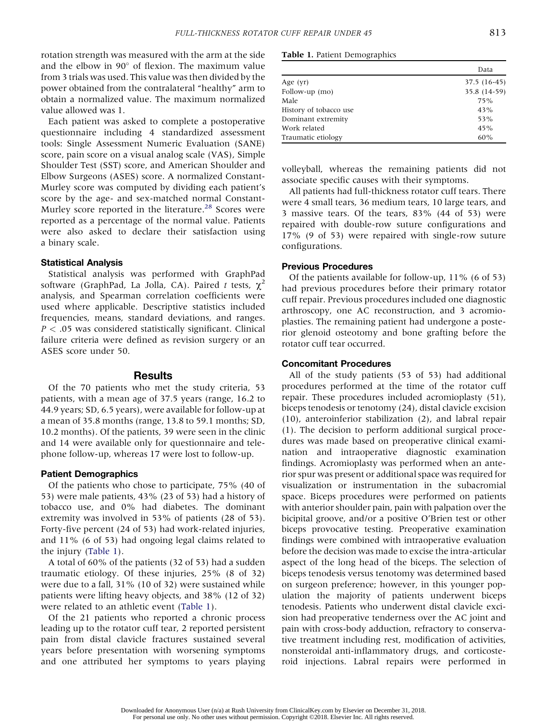rotation strength was measured with the arm at the side and the elbow in  $90^{\circ}$  of flexion. The maximum value from 3 trials was used. This value was then divided by the power obtained from the contralateral "healthy" arm to obtain a normalized value. The maximum normalized value allowed was 1.

Each patient was asked to complete a postoperative questionnaire including 4 standardized assessment tools: Single Assessment Numeric Evaluation (SANE) score, pain score on a visual analog scale (VAS), Simple Shoulder Test (SST) score, and American Shoulder and Elbow Surgeons (ASES) score. A normalized Constant-Murley score was computed by dividing each patient's score by the age- and sex-matched normal Constant-Murley score reported in the literature.<sup>28</sup> Scores were reported as a percentage of the normal value. Patients were also asked to declare their satisfaction using a binary scale.

## Statistical Analysis

Statistical analysis was performed with GraphPad software (GraphPad, La Jolla, CA). Paired t tests,  $\chi^2$ analysis, and Spearman correlation coefficients were used where applicable. Descriptive statistics included frequencies, means, standard deviations, and ranges.  $P < .05$  was considered statistically significant. Clinical failure criteria were defined as revision surgery or an ASES score under 50.

# **Results**

Of the 70 patients who met the study criteria, 53 patients, with a mean age of 37.5 years (range, 16.2 to 44.9 years; SD, 6.5 years), were available for follow-up at a mean of 35.8 months (range, 13.8 to 59.1 months; SD, 10.2 months). Of the patients, 39 were seen in the clinic and 14 were available only for questionnaire and telephone follow-up, whereas 17 were lost to follow-up.

#### Patient Demographics

Of the patients who chose to participate, 75% (40 of 53) were male patients, 43% (23 of 53) had a history of tobacco use, and 0% had diabetes. The dominant extremity was involved in 53% of patients (28 of 53). Forty-five percent (24 of 53) had work-related injuries, and 11% (6 of 53) had ongoing legal claims related to the injury (Table 1).

A total of 60% of the patients (32 of 53) had a sudden traumatic etiology. Of these injuries, 25% (8 of 32) were due to a fall, 31% (10 of 32) were sustained while patients were lifting heavy objects, and 38% (12 of 32) were related to an athletic event (Table 1).

Of the 21 patients who reported a chronic process leading up to the rotator cuff tear, 2 reported persistent pain from distal clavicle fractures sustained several years before presentation with worsening symptoms and one attributed her symptoms to years playing

### Table 1. Patient Demographics

|                        | Data         |
|------------------------|--------------|
| Age (yr)               | 37.5 (16-45) |
| Follow-up (mo)         | 35.8 (14-59) |
| Male                   | 75%          |
| History of tobacco use | 43%          |
| Dominant extremity     | 53%          |
| Work related           | 45%          |
| Traumatic etiology     | 60%          |

volleyball, whereas the remaining patients did not associate specific causes with their symptoms.

All patients had full-thickness rotator cuff tears. There were 4 small tears, 36 medium tears, 10 large tears, and 3 massive tears. Of the tears, 83% (44 of 53) were repaired with double-row suture configurations and 17% (9 of 53) were repaired with single-row suture configurations.

#### Previous Procedures

Of the patients available for follow-up, 11% (6 of 53) had previous procedures before their primary rotator cuff repair. Previous procedures included one diagnostic arthroscopy, one AC reconstruction, and 3 acromioplasties. The remaining patient had undergone a posterior glenoid osteotomy and bone grafting before the rotator cuff tear occurred.

## Concomitant Procedures

All of the study patients (53 of 53) had additional procedures performed at the time of the rotator cuff repair. These procedures included acromioplasty (51), biceps tenodesis or tenotomy (24), distal clavicle excision (10), anteroinferior stabilization (2), and labral repair (1). The decision to perform additional surgical procedures was made based on preoperative clinical examination and intraoperative diagnostic examination findings. Acromioplasty was performed when an anterior spur was present or additional space was required for visualization or instrumentation in the subacromial space. Biceps procedures were performed on patients with anterior shoulder pain, pain with palpation over the bicipital groove, and/or a positive O'Brien test or other biceps provocative testing. Preoperative examination findings were combined with intraoperative evaluation before the decision was made to excise the intra-articular aspect of the long head of the biceps. The selection of biceps tenodesis versus tenotomy was determined based on surgeon preference; however, in this younger population the majority of patients underwent biceps tenodesis. Patients who underwent distal clavicle excision had preoperative tenderness over the AC joint and pain with cross-body adduction, refractory to conservative treatment including rest, modification of activities, nonsteroidal anti-inflammatory drugs, and corticosteroid injections. Labral repairs were performed in

Downloaded for Anonymous User (n/a) at Rush University from ClinicalKey.com by Elsevier on December 31, 2018. For personal use only. No other uses without permission. Copyright ©2018. Elsevier Inc. All rights reserved.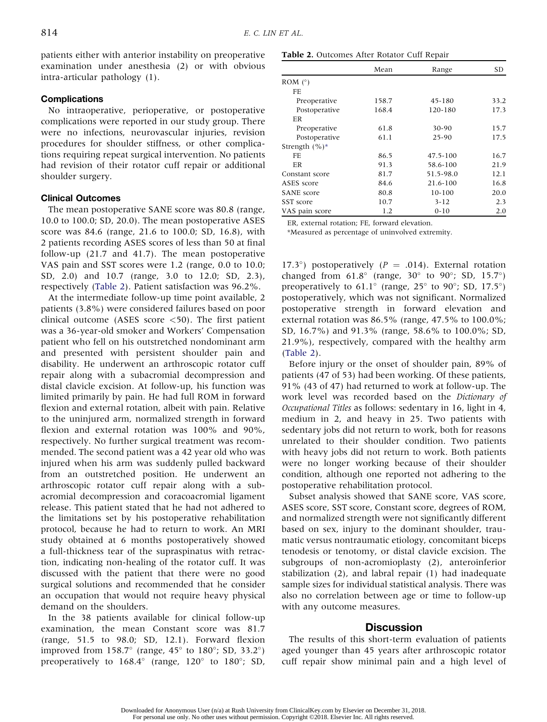patients either with anterior instability on preoperative examination under anesthesia (2) or with obvious intra-articular pathology (1).

## **Complications**

No intraoperative, perioperative, or postoperative complications were reported in our study group. There were no infections, neurovascular injuries, revision procedures for shoulder stiffness, or other complications requiring repeat surgical intervention. No patients had revision of their rotator cuff repair or additional shoulder surgery.

## Clinical Outcomes

The mean postoperative SANE score was 80.8 (range, 10.0 to 100.0; SD, 20.0). The mean postoperative ASES score was 84.6 (range, 21.6 to 100.0; SD, 16.8), with 2 patients recording ASES scores of less than 50 at final follow-up (21.7 and 41.7). The mean postoperative VAS pain and SST scores were 1.2 (range, 0.0 to 10.0; SD, 2.0) and 10.7 (range, 3.0 to 12.0; SD, 2.3), respectively (Table 2). Patient satisfaction was 96.2%.

At the intermediate follow-up time point available, 2 patients (3.8%) were considered failures based on poor clinical outcome (ASES score  $\langle 50 \rangle$ ). The first patient was a 36-year-old smoker and Workers' Compensation patient who fell on his outstretched nondominant arm and presented with persistent shoulder pain and disability. He underwent an arthroscopic rotator cuff repair along with a subacromial decompression and distal clavicle excision. At follow-up, his function was limited primarily by pain. He had full ROM in forward flexion and external rotation, albeit with pain. Relative to the uninjured arm, normalized strength in forward flexion and external rotation was 100% and 90%, respectively. No further surgical treatment was recommended. The second patient was a 42 year old who was injured when his arm was suddenly pulled backward from an outstretched position. He underwent an arthroscopic rotator cuff repair along with a subacromial decompression and coracoacromial ligament release. This patient stated that he had not adhered to the limitations set by his postoperative rehabilitation protocol, because he had to return to work. An MRI study obtained at 6 months postoperatively showed a full-thickness tear of the supraspinatus with retraction, indicating non-healing of the rotator cuff. It was discussed with the patient that there were no good surgical solutions and recommended that he consider an occupation that would not require heavy physical demand on the shoulders.

In the 38 patients available for clinical follow-up examination, the mean Constant score was 81.7 (range, 51.5 to 98.0; SD, 12.1). Forward flexion improved from 158.7 $\textdegree$  (range, 45 $\textdegree$  to 180 $\textdegree$ ; SD, 33.2 $\textdegree$ ) preoperatively to  $168.4^{\circ}$  (range,  $120^{\circ}$  to  $180^{\circ}$ ; SD,

|  | Table 2. Outcomes After Rotator Cuff Repair |  |  |  |  |
|--|---------------------------------------------|--|--|--|--|
|--|---------------------------------------------|--|--|--|--|

|                   | Mean  | Range        | <b>SD</b> |  |
|-------------------|-------|--------------|-----------|--|
| ROM $(^\circ)$    |       |              |           |  |
| FF                |       |              |           |  |
| Preoperative      | 158.7 | 45-180       | 33.2      |  |
| Postoperative     | 168.4 | 120-180      | 17.3      |  |
| ER                |       |              |           |  |
| Preoperative      | 61.8  | 30-90        | 15.7      |  |
| Postoperative     | 61.1  | 25-90        | 17.5      |  |
| Strength $(\%)^*$ |       |              |           |  |
| FE                | 86.5  | $47.5 - 100$ | 16.7      |  |
| ER                | 91.3  | 58.6-100     | 21.9      |  |
| Constant score    | 81.7  | 51.5-98.0    | 12.1      |  |
| ASES score        | 84.6  | 21.6-100     | 16.8      |  |
| <b>SANE</b> score | 80.8  | 10-100       | 20.0      |  |
| SST score         | 10.7  | $3 - 12$     | 2.3       |  |
| VAS pain score    | 1.2   | $0 - 10$     | 2.0       |  |

ER, external rotation; FE, forward elevation.

\*Measured as percentage of uninvolved extremity.

17.3°) postoperatively ( $P = .014$ ). External rotation changed from  $61.8^\circ$  (range,  $30^\circ$  to  $90^\circ$ ; SD,  $15.7^\circ$ ) preoperatively to  $61.1^\circ$  (range,  $25^\circ$  to  $90^\circ$ ; SD,  $17.5^\circ$ ) postoperatively, which was not significant. Normalized postoperative strength in forward elevation and external rotation was 86.5% (range, 47.5% to 100.0%; SD, 16.7%) and 91.3% (range, 58.6% to 100.0%; SD, 21.9%), respectively, compared with the healthy arm (Table 2).

Before injury or the onset of shoulder pain, 89% of patients (47 of 53) had been working. Of these patients, 91% (43 of 47) had returned to work at follow-up. The work level was recorded based on the Dictionary of Occupational Titles as follows: sedentary in 16, light in 4, medium in 2, and heavy in 25. Two patients with sedentary jobs did not return to work, both for reasons unrelated to their shoulder condition. Two patients with heavy jobs did not return to work. Both patients were no longer working because of their shoulder condition, although one reported not adhering to the postoperative rehabilitation protocol.

Subset analysis showed that SANE score, VAS score, ASES score, SST score, Constant score, degrees of ROM, and normalized strength were not significantly different based on sex, injury to the dominant shoulder, traumatic versus nontraumatic etiology, concomitant biceps tenodesis or tenotomy, or distal clavicle excision. The subgroups of non-acromioplasty (2), anteroinferior stabilization (2), and labral repair (1) had inadequate sample sizes for individual statistical analysis. There was also no correlation between age or time to follow-up with any outcome measures.

## Discussion

The results of this short-term evaluation of patients aged younger than 45 years after arthroscopic rotator cuff repair show minimal pain and a high level of

Downloaded for Anonymous User (n/a) at Rush University from ClinicalKey.com by Elsevier on December 31, 2018. For personal use only. No other uses without permission. Copyright ©2018. Elsevier Inc. All rights reserved.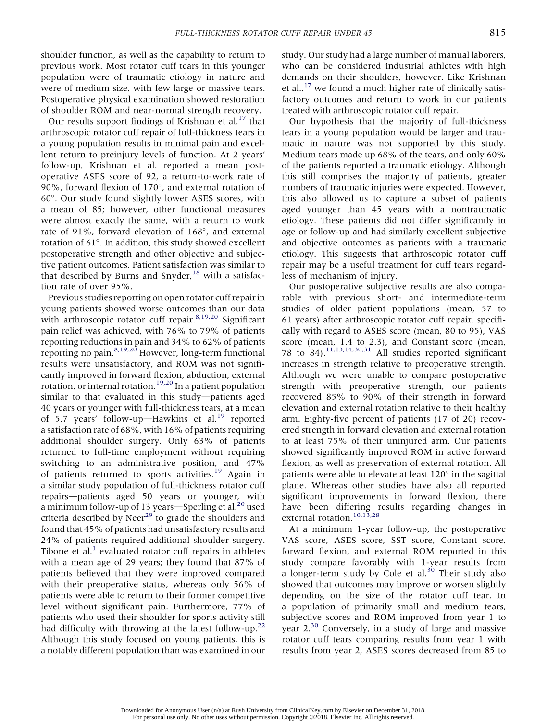shoulder function, as well as the capability to return to previous work. Most rotator cuff tears in this younger population were of traumatic etiology in nature and were of medium size, with few large or massive tears. Postoperative physical examination showed restoration of shoulder ROM and near-normal strength recovery.

Our results support findings of Krishnan et al. $^{17}$  that arthroscopic rotator cuff repair of full-thickness tears in a young population results in minimal pain and excellent return to preinjury levels of function. At 2 years' follow-up, Krishnan et al. reported a mean postoperative ASES score of 92, a return-to-work rate of 90%, forward flexion of  $170^{\circ}$ , and external rotation of 60. Our study found slightly lower ASES scores, with a mean of 85; however, other functional measures were almost exactly the same, with a return to work rate of 91%, forward elevation of 168°, and external rotation of  $61^\circ$ . In addition, this study showed excellent postoperative strength and other objective and subjective patient outcomes. Patient satisfaction was similar to that described by Burns and Snyder, $18$  with a satisfaction rate of over 95%.

Previous studies reporting on open rotator cuff repair in young patients showed worse outcomes than our data with arthroscopic rotator cuff repair.<sup>8,19,20</sup> Significant pain relief was achieved, with 76% to 79% of patients reporting reductions in pain and 34% to 62% of patients reporting no pain. <sup>8,19,20</sup> However, long-term functional results were unsatisfactory, and ROM was not significantly improved in forward flexion, abduction, external rotation, or internal rotation.<sup>19,20</sup> In a patient population similar to that evaluated in this study-patients aged 40 years or younger with full-thickness tears, at a mean of 5.7 years' follow-up-Hawkins et al.<sup>19</sup> reported a satisfaction rate of 68%, with 16% of patients requiring additional shoulder surgery. Only 63% of patients returned to full-time employment without requiring switching to an administrative position, and 47% of patients returned to sports activities.<sup>19</sup> Again in a similar study population of full-thickness rotator cuff repairs-patients aged 50 years or younger, with a minimum follow-up of 13 years—Sperling et al.<sup>20</sup> used criteria described by Neer $^{29}$  to grade the shoulders and found that 45% of patients had unsatisfactory results and 24% of patients required additional shoulder surgery. Tibone et al. $<sup>1</sup>$  evaluated rotator cuff repairs in athletes</sup> with a mean age of 29 years; they found that 87% of patients believed that they were improved compared with their preoperative status, whereas only 56% of patients were able to return to their former competitive level without significant pain. Furthermore, 77% of patients who used their shoulder for sports activity still had difficulty with throwing at the latest follow-up.<sup>22</sup> Although this study focused on young patients, this is a notably different population than was examined in our study. Our study had a large number of manual laborers, who can be considered industrial athletes with high demands on their shoulders, however. Like Krishnan et al., $^{17}$  we found a much higher rate of clinically satisfactory outcomes and return to work in our patients treated with arthroscopic rotator cuff repair.

Our hypothesis that the majority of full-thickness tears in a young population would be larger and traumatic in nature was not supported by this study. Medium tears made up 68% of the tears, and only 60% of the patients reported a traumatic etiology. Although this still comprises the majority of patients, greater numbers of traumatic injuries were expected. However, this also allowed us to capture a subset of patients aged younger than 45 years with a nontraumatic etiology. These patients did not differ significantly in age or follow-up and had similarly excellent subjective and objective outcomes as patients with a traumatic etiology. This suggests that arthroscopic rotator cuff repair may be a useful treatment for cuff tears regardless of mechanism of injury.

Our postoperative subjective results are also comparable with previous short- and intermediate-term studies of older patient populations (mean, 57 to 61 years) after arthroscopic rotator cuff repair, specifically with regard to ASES score (mean, 80 to 95), VAS score (mean, 1.4 to 2.3), and Constant score (mean, 78 to 84).11,13,14,30,31 All studies reported significant increases in strength relative to preoperative strength. Although we were unable to compare postoperative strength with preoperative strength, our patients recovered 85% to 90% of their strength in forward elevation and external rotation relative to their healthy arm. Eighty-five percent of patients (17 of 20) recovered strength in forward elevation and external rotation to at least 75% of their uninjured arm. Our patients showed significantly improved ROM in active forward flexion, as well as preservation of external rotation. All patients were able to elevate at least  $120^\circ$  in the sagittal plane. Whereas other studies have also all reported significant improvements in forward flexion, there have been differing results regarding changes in external rotation.<sup>10,13,28</sup>

At a minimum 1-year follow-up, the postoperative VAS score, ASES score, SST score, Constant score, forward flexion, and external ROM reported in this study compare favorably with 1-year results from a longer-term study by Cole et al.<sup>30</sup> Their study also showed that outcomes may improve or worsen slightly depending on the size of the rotator cuff tear. In a population of primarily small and medium tears, subjective scores and ROM improved from year 1 to year  $2^{30}$  Conversely, in a study of large and massive rotator cuff tears comparing results from year 1 with results from year 2, ASES scores decreased from 85 to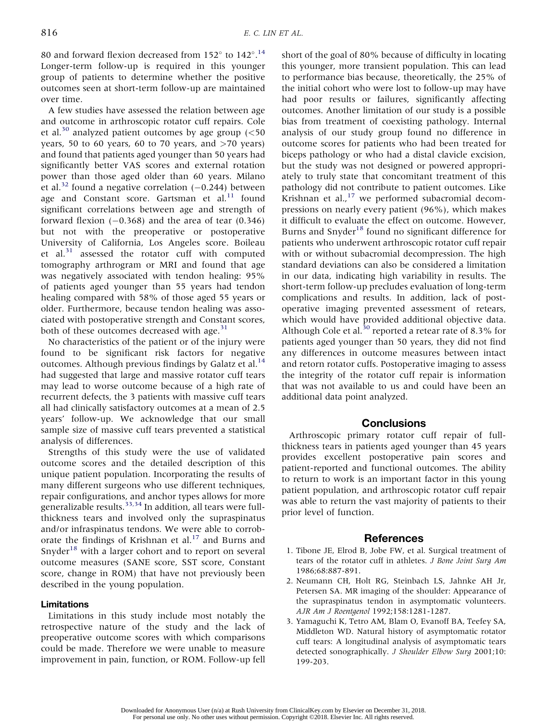80 and forward flexion decreased from  $152^{\circ}$  to  $142^{\circ}$ .<sup>14</sup> Longer-term follow-up is required in this younger group of patients to determine whether the positive outcomes seen at short-term follow-up are maintained over time.

A few studies have assessed the relation between age and outcome in arthroscopic rotator cuff repairs. Cole et al.<sup>30</sup> analyzed patient outcomes by age group  $\left($  < 50 years, 50 to 60 years, 60 to 70 years, and  $>70$  years) and found that patients aged younger than 50 years had significantly better VAS scores and external rotation power than those aged older than 60 years. Milano et al.<sup>32</sup> found a negative correlation  $(-0.244)$  between age and Constant score. Gartsman et al. $^{11}$  found significant correlations between age and strength of forward flexion  $(-0.368)$  and the area of tear  $(0.346)$ but not with the preoperative or postoperative University of California, Los Angeles score. Boileau et al. $31$  assessed the rotator cuff with computed tomography arthrogram or MRI and found that age was negatively associated with tendon healing: 95% of patients aged younger than 55 years had tendon healing compared with 58% of those aged 55 years or older. Furthermore, because tendon healing was associated with postoperative strength and Constant scores, both of these outcomes decreased with age. $31$ 

No characteristics of the patient or of the injury were found to be significant risk factors for negative outcomes. Although previous findings by Galatz et al.<sup>14</sup> had suggested that large and massive rotator cuff tears may lead to worse outcome because of a high rate of recurrent defects, the 3 patients with massive cuff tears all had clinically satisfactory outcomes at a mean of 2.5 years' follow-up. We acknowledge that our small sample size of massive cuff tears prevented a statistical analysis of differences.

Strengths of this study were the use of validated outcome scores and the detailed description of this unique patient population. Incorporating the results of many different surgeons who use different techniques, repair configurations, and anchor types allows for more generalizable results.33,34 In addition, all tears were fullthickness tears and involved only the supraspinatus and/or infraspinatus tendons. We were able to corroborate the findings of Krishnan et al. $17$  and Burns and Snyder $18$  with a larger cohort and to report on several outcome measures (SANE score, SST score, Constant score, change in ROM) that have not previously been described in the young population.

# Limitations

Limitations in this study include most notably the retrospective nature of the study and the lack of preoperative outcome scores with which comparisons could be made. Therefore we were unable to measure improvement in pain, function, or ROM. Follow-up fell short of the goal of 80% because of difficulty in locating this younger, more transient population. This can lead to performance bias because, theoretically, the 25% of the initial cohort who were lost to follow-up may have had poor results or failures, significantly affecting outcomes. Another limitation of our study is a possible bias from treatment of coexisting pathology. Internal analysis of our study group found no difference in outcome scores for patients who had been treated for biceps pathology or who had a distal clavicle excision, but the study was not designed or powered appropriately to truly state that concomitant treatment of this pathology did not contribute to patient outcomes. Like Krishnan et al., $^{17}$  we performed subacromial decompressions on nearly every patient (96%), which makes it difficult to evaluate the effect on outcome. However, Burns and Snyder<sup>18</sup> found no significant difference for patients who underwent arthroscopic rotator cuff repair with or without subacromial decompression. The high standard deviations can also be considered a limitation in our data, indicating high variability in results. The short-term follow-up precludes evaluation of long-term complications and results. In addition, lack of postoperative imaging prevented assessment of retears, which would have provided additional objective data. Although Cole et al.<sup>30</sup> reported a retear rate of 8.3% for patients aged younger than 50 years, they did not find any differences in outcome measures between intact and retorn rotator cuffs. Postoperative imaging to assess the integrity of the rotator cuff repair is information that was not available to us and could have been an additional data point analyzed.

# **Conclusions**

Arthroscopic primary rotator cuff repair of fullthickness tears in patients aged younger than 45 years provides excellent postoperative pain scores and patient-reported and functional outcomes. The ability to return to work is an important factor in this young patient population, and arthroscopic rotator cuff repair was able to return the vast majority of patients to their prior level of function.

# References

- 1. Tibone JE, Elrod B, Jobe FW, et al. Surgical treatment of tears of the rotator cuff in athletes. J Bone Joint Surg Am 1986;68:887-891.
- 2. Neumann CH, Holt RG, Steinbach LS, Jahnke AH Jr, Petersen SA. MR imaging of the shoulder: Appearance of the supraspinatus tendon in asymptomatic volunteers. AJR Am J Roentgenol 1992;158:1281-1287.
- 3. Yamaguchi K, Tetro AM, Blam O, Evanoff BA, Teefey SA, Middleton WD. Natural history of asymptomatic rotator cuff tears: A longitudinal analysis of asymptomatic tears detected sonographically. J Shoulder Elbow Surg 2001;10: 199-203.

Downloaded for Anonymous User (n/a) at Rush University from ClinicalKey.com by Elsevier on December 31, 2018. For personal use only. No other uses without permission. Copyright ©2018. Elsevier Inc. All rights reserved.